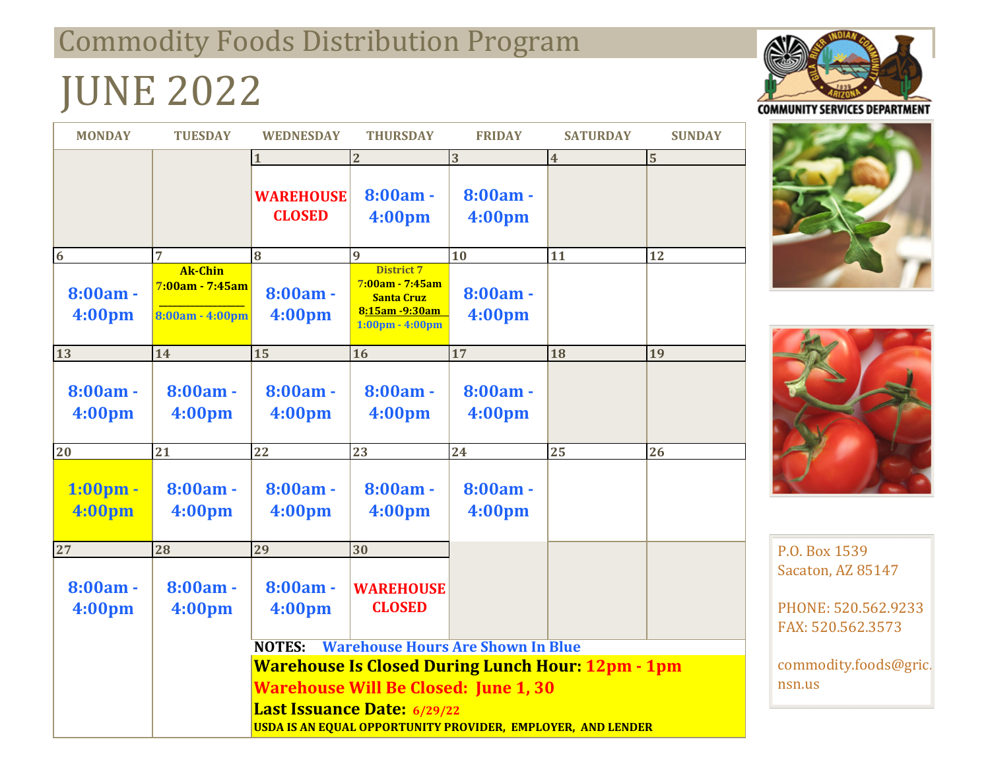## Commodity Foods Distribution Program

# JUNE 2022

| <b>MONDAY</b>                    | <b>TUESDAY</b>                                            | <b>WEDNESDAY</b>                                            | <b>THURSDAY</b>                                                                                             | <b>FRIDAY</b>        | <b>SATURDAY</b>         | <b>SUNDAY</b> |
|----------------------------------|-----------------------------------------------------------|-------------------------------------------------------------|-------------------------------------------------------------------------------------------------------------|----------------------|-------------------------|---------------|
|                                  |                                                           |                                                             | $\overline{2}$                                                                                              | 3                    | $\overline{\mathbf{4}}$ | 5             |
|                                  |                                                           | <b>WAREHOUSE</b><br><b>CLOSED</b>                           | $8:00am -$<br>4:00pm                                                                                        | $8:00am -$<br>4:00pm |                         |               |
| $6\phantom{a}6$                  | 7                                                         | 8                                                           | $\overline{9}$                                                                                              | 10                   | 11                      | 12            |
| $8:00am -$<br>4:00 <sub>pm</sub> | <b>Ak-Chin</b><br>7:00am - 7:45am<br>$8:00am - 4:00pm$    | $8:00am -$<br>4:00 <sub>pm</sub>                            | <b>District 7</b><br>$7:00am - 7:45am$<br>Santa Cruz<br>8:15am -9:30am<br>$1:00 \text{pm} - 4:00 \text{pm}$ | $8:00am -$<br>4:00pm |                         |               |
| 13                               | 14                                                        | 15                                                          | 16                                                                                                          | 17                   | 18                      | 19            |
| $8:00am -$<br>4:00pm             | $8:00am -$<br>4:00pm                                      | $8:00am -$<br>4:00pm                                        | $8:00am -$<br>4:00 <sub>pm</sub>                                                                            | $8:00am -$<br>4:00pm |                         |               |
| 20                               | 21                                                        | 22                                                          | 23                                                                                                          | 24                   | 25                      | 26            |
| $1:00$ pm -<br>4:00pm            | $8:00am -$<br>4:00pm                                      | 8:00am -<br>4:00 <sub>pm</sub>                              | $8:00am -$<br>4:00 <sub>pm</sub>                                                                            | $8:00am -$<br>4:00pm |                         |               |
| 27                               | 28                                                        | 29                                                          | 30                                                                                                          |                      |                         |               |
| $8:00am -$<br>4:00pm             | $8:00am -$<br>4:00pm                                      | $8:00am -$<br>4:00 <sub>pm</sub>                            | <b>WAREHOUSE</b><br><b>CLOSED</b>                                                                           |                      |                         |               |
|                                  | <b>Warehouse Hours Are Shown In Blue</b><br><b>NOTES:</b> |                                                             |                                                                                                             |                      |                         |               |
|                                  |                                                           | <b>Warehouse Is Closed During Lunch Hour: 12pm - 1pm</b>    |                                                                                                             |                      |                         |               |
|                                  |                                                           | <b>Warehouse Will Be Closed: June 1, 30</b>                 |                                                                                                             |                      |                         |               |
|                                  |                                                           | <b>Last Issuance Date: 6/29/22</b>                          |                                                                                                             |                      |                         |               |
|                                  |                                                           | USDA IS AN EQUAL OPPORTUNITY PROVIDER, EMPLOYER, AND LENDER |                                                                                                             |                      |                         |               |







P.O. Box 1539 Sacaton, AZ 85147

PHONE: 520.562.9233 FAX: 520.562.3573

commodity.foods@gric. nsn.us